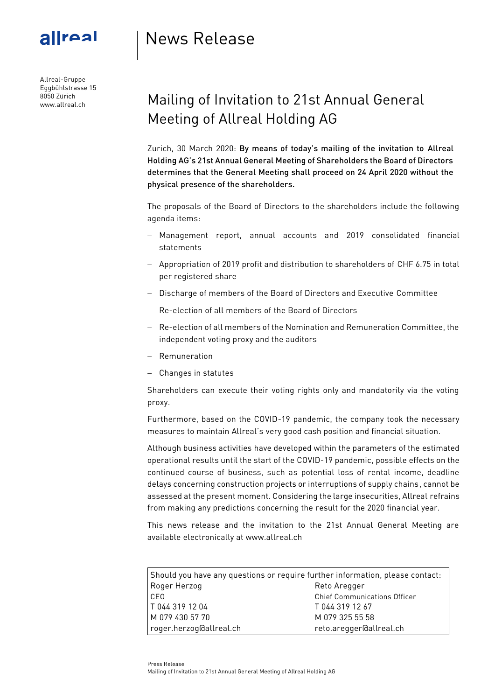

Allreal-Gruppe Eggbühlstrasse 15 8050 Zürich www.allreal.ch

## News Release

## Mailing of Invitation to 21st Annual General Meeting of Allreal Holding AG

Zurich, 30 March 2020: By means of today's mailing of the invitation to Allreal Holding AG's 21st Annual General Meeting of Shareholders the Board of Directors determines that the General Meeting shall proceed on 24 April 2020 without the physical presence of the shareholders.

The proposals of the Board of Directors to the shareholders include the following agenda items:

- Management report, annual accounts and 2019 consolidated financial statements
- Appropriation of 2019 profit and distribution to shareholders of CHF 6.75 in total per registered share
- Discharge of members of the Board of Directors and Executive Committee
- Re-election of all members of the Board of Directors
- Re-election of all members of the Nomination and Remuneration Committee, the independent voting proxy and the auditors
- Remuneration
- Changes in statutes

Shareholders can execute their voting rights only and mandatorily via the voting proxy.

Furthermore, based on the COVID-19 pandemic, the company took the necessary measures to maintain Allreal's very good cash position and financial situation.

Although business activities have developed within the parameters of the estimated operational results until the start of the COVID-19 pandemic, possible effects on the continued course of business, such as potential loss of rental income, deadline delays concerning construction projects or interruptions of supply chains, cannot be assessed at the present moment. Considering the large insecurities, Allreal refrains from making any predictions concerning the result for the 2020 financial year.

This news release and the invitation to the 21st Annual General Meeting are available electronically at [www.allreal.ch](http://www.allreal.ch/)

| Should you have any questions or require further information, please contact: |                                     |
|-------------------------------------------------------------------------------|-------------------------------------|
| Roger Herzog                                                                  | Reto Aregger                        |
| CEO                                                                           | <b>Chief Communications Officer</b> |
| T 044 319 12 04                                                               | T 044 319 12 67                     |
| M 079 430 57 70                                                               | M 079 325 55 58                     |
| roger.herzog@allreal.ch                                                       | reto.aregger@allreal.ch             |